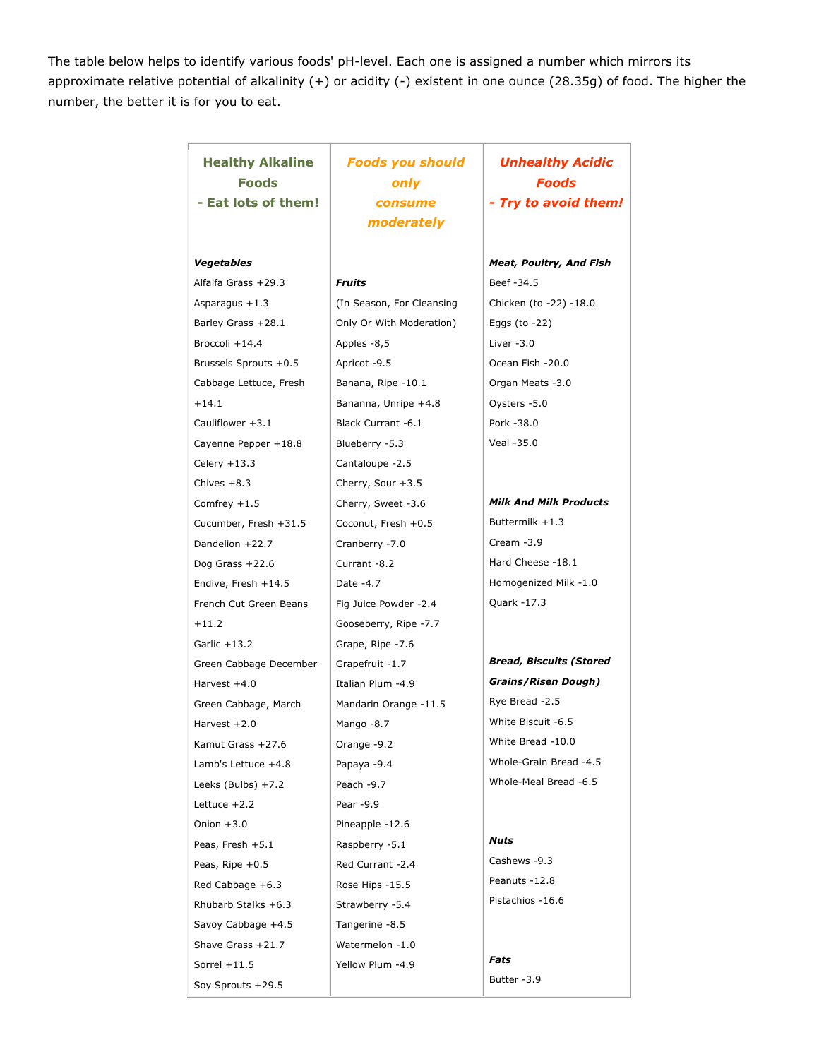The table below helps to identify various foods' pH-level. Each one is assigned a number which mirrors its approximate relative potential of alkalinity (+) or acidity (-) existent in one ounce (28.35g) of food. The higher the number, the better it is for you to eat.

| <b>Healthy Alkaline</b><br>Foods<br>- Eat lots of them! | <b>Foods you should</b><br>only<br>consume<br>moderately | <b>Unhealthy Acidic</b><br><b>Foods</b><br>- Try to avoid them! |
|---------------------------------------------------------|----------------------------------------------------------|-----------------------------------------------------------------|
|                                                         |                                                          |                                                                 |
| Vegetables                                              |                                                          | <b>Meat, Poultry, And Fish</b>                                  |
| Alfalfa Grass +29.3                                     | Fruits                                                   | Beef -34.5                                                      |
| Asparagus +1.3                                          | (In Season, For Cleansing                                | Chicken (to -22) -18.0                                          |
| Barley Grass +28.1                                      | Only Or With Moderation)                                 | Eggs (to $-22$ )                                                |
| Broccoli +14.4                                          | Apples -8,5                                              | Liver $-3.0$                                                    |
| Brussels Sprouts +0.5                                   | Apricot -9.5                                             | Ocean Fish -20.0                                                |
| Cabbage Lettuce, Fresh                                  | Banana, Ripe -10.1                                       | Organ Meats -3.0                                                |
| $+14.1$                                                 | Bananna, Unripe +4.8                                     | Oysters -5.0                                                    |
| Cauliflower +3.1                                        | Black Currant -6.1                                       | Pork -38.0                                                      |
| Cayenne Pepper +18.8                                    | Blueberry -5.3                                           | Veal -35.0                                                      |
| Celery +13.3                                            | Cantaloupe -2.5                                          |                                                                 |
| Chives $+8.3$                                           | Cherry, Sour +3.5                                        |                                                                 |
| Comfrey $+1.5$                                          | Cherry, Sweet -3.6                                       | <b>Milk And Milk Products</b>                                   |
| Cucumber, Fresh +31.5                                   | Coconut, Fresh +0.5                                      | Buttermilk +1.3                                                 |
| Dandelion +22.7                                         | Cranberry -7.0                                           | Cream -3.9                                                      |
| Dog Grass $+22.6$                                       | Currant -8.2                                             | Hard Cheese -18.1                                               |
| Endive, Fresh +14.5                                     | Date -4.7                                                | Homogenized Milk -1.0                                           |
| French Cut Green Beans                                  | Fig Juice Powder -2.4                                    | Quark -17.3                                                     |
| $+11.2$                                                 | Gooseberry, Ripe -7.7                                    |                                                                 |
| Garlic $+13.2$                                          | Grape, Ripe -7.6                                         |                                                                 |
| Green Cabbage December                                  | Grapefruit -1.7                                          | <b>Bread, Biscuits (Stored</b>                                  |
| Harvest +4.0                                            | Italian Plum -4.9                                        | <b>Grains/Risen Dough)</b>                                      |
| Green Cabbage, March                                    | Mandarin Orange -11.5                                    | Rye Bread -2.5                                                  |
| Harvest $+2.0$                                          | Mango -8.7                                               | White Biscuit -6.5                                              |
| Kamut Grass +27.6                                       | Orange -9.2                                              | White Bread -10.0                                               |
| Lamb's Lettuce +4.8                                     | Papaya -9.4                                              | Whole-Grain Bread -4.5                                          |
| Leeks (Bulbs) +7.2                                      | Peach -9.7                                               | Whole-Meal Bread -6.5                                           |
| Lettuce $+2.2$                                          | Pear -9.9                                                |                                                                 |
| Onion $+3.0$                                            | Pineapple -12.6                                          |                                                                 |
| Peas, Fresh +5.1                                        | Raspberry -5.1                                           | Nuts                                                            |
| Peas, Ripe $+0.5$                                       | Red Currant -2.4                                         | Cashews -9.3                                                    |
| Red Cabbage +6.3                                        | Rose Hips -15.5                                          | Peanuts -12.8                                                   |
| Rhubarb Stalks +6.3                                     | Strawberry -5.4                                          | Pistachios -16.6                                                |
| Savoy Cabbage +4.5                                      | Tangerine -8.5                                           |                                                                 |
| Shave Grass +21.7                                       | Watermelon -1.0                                          |                                                                 |
| Sorrel $+11.5$                                          | Yellow Plum -4.9                                         | Fats                                                            |
| Soy Sprouts +29.5                                       |                                                          | Butter -3.9                                                     |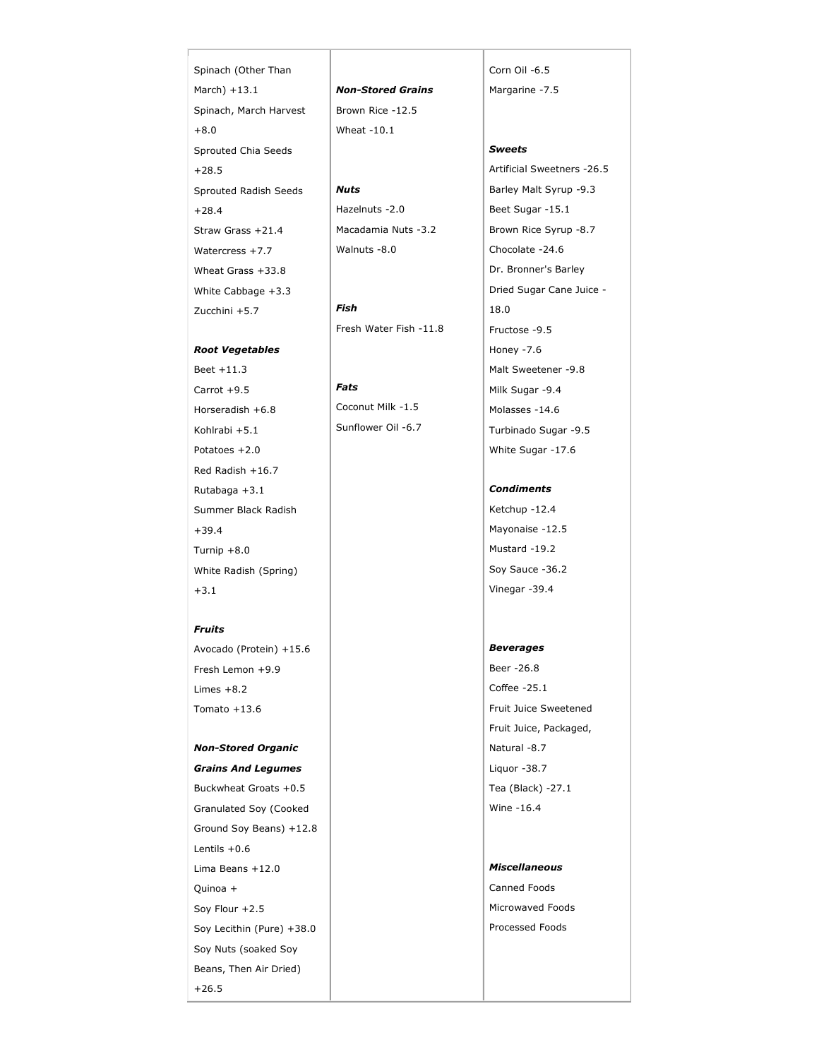Spinach (Other Than March) +13.1 Spinach, March Harvest +8.0 Sprouted Chia Seeds +28.5 Sprouted Radish Seeds +28.4 Straw Grass +21.4 Watercress +7.7 Wheat Grass +33.8 White Cabbage +3.3 Zucchini +5.7

### *Root Vegetables*

Beet +11.3 Carrot +9.5 Horseradish +6.8 Kohlrabi +5.1 Potatoes +2.0 Red Radish +16.7 Rutabaga +3.1 Summer Black Radish +39.4 Turnip +8.0 White Radish (Spring) +3.1

#### *Fruits*

Avocado (Protein) +15.6 Fresh Lemon +9.9 Limes  $+8.2$ Tomato +13.6

# *Non-Stored Organic*

*Grains And Legumes* Buckwheat Groats +0.5 Granulated Soy (Cooked Ground Soy Beans) +12.8 Lentils +0.6 Lima Beans +12.0 Quinoa + Soy Flour +2.5 Soy Lecithin (Pure) +38.0 Soy Nuts (soaked Soy Beans, Then Air Dried) +26.5

*Non-Stored Grains* Brown Rice -12.5 Wheat -10.1

# *Nuts*

Hazelnuts -2.0 Macadamia Nuts -3.2 Walnuts -8.0

*Fish* Fresh Water Fish -11.8

### *Fats*

Coconut Milk -1.5 Sunflower Oil -6.7 Corn Oil -6.5 Margarine -7.5

## *Sweets*

Artificial Sweetners -26.5 Barley Malt Syrup -9.3 Beet Sugar -15.1 Brown Rice Syrup -8.7 Chocolate -24.6 Dr. Bronner's Barley Dried Sugar Cane Juice - 18.0 Fructose -9.5 Honey -7.6 Malt Sweetener -9.8 Milk Sugar -9.4 Molasses -14.6 Turbinado Sugar -9.5 White Sugar -17.6

*Condiments*

Ketchup -12.4 Mayonaise -12.5 Mustard -19.2 Soy Sauce -36.2 Vinegar -39.4

#### *Beverages*

Beer -26.8 Coffee -25.1 Fruit Juice Sweetened Fruit Juice, Packaged, Natural -8.7 Liquor -38.7 Tea (Black) -27.1 Wine -16.4

#### *Miscellaneous*

Canned Foods Microwaved Foods Processed Foods